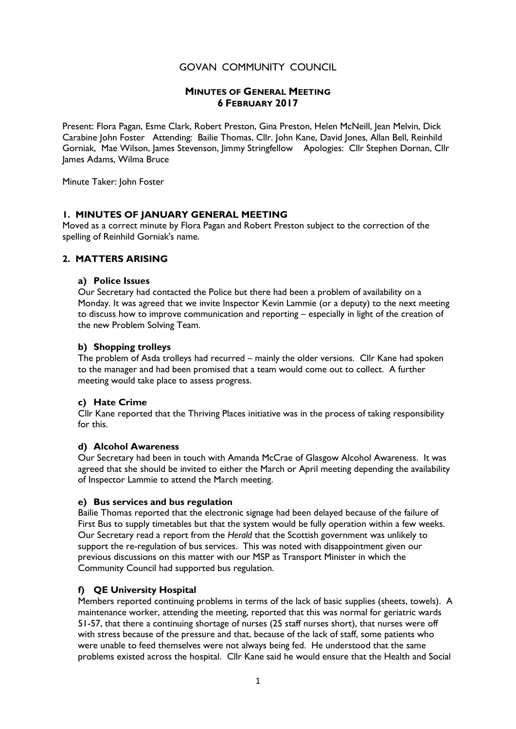# GOVAN COMMUNITY COUNCIL

# MINUTES OF GENERAL MEETING 6 FEBRUARY 2017

Present: Flora Pagan, Esme Clark, Robert Preston, Gina Preston, Helen McNeill, Jean Melvin, Dick Carabine John Foster Attending: Bailie Thomas, Cllr. John Kane, David Jones, Allan Bell, Reinhild Gorniak, Mae Wilson, James Stevenson, Jimmy Stringfellow Apologies: Cllr Stephen Dornan, Cllr James Adams, Wilma Bruce

Minute Taker: John Foster

### 1. MINUTES OF JANUARY GENERAL MEETING

Moved as a correct minute by Flora Pagan and Robert Preston subject to the correction of the spelling of Reinhild Gorniak's name.

### 2. MATTERS ARISING

#### a) Police Issues

Our Secretary had contacted the Police but there had been a problem of availability on a Monday. It was agreed that we invite Inspector Kevin Lammie (or a deputy) to the next meeting to discuss how to improve communication and reporting – especially in light of the creation of the new Problem Solving Team.

### b) Shopping trolleys

The problem of Asda trolleys had recurred – mainly the older versions. Cllr Kane had spoken to the manager and had been promised that a team would come out to collect. A further meeting would take place to assess progress.

### c) Hate Crime

Cllr Kane reported that the Thriving Places initiative was in the process of taking responsibility for this.

### d) Alcohol Awareness

Our Secretary had been in touch with Amanda McCrae of Glasgow Alcohol Awareness. It was agreed that she should be invited to either the March or April meeting depending the availability of Inspector Lammie to attend the March meeting.

### e) Bus services and bus regulation

Bailie Thomas reported that the electronic signage had been delayed because of the failure of First Bus to supply timetables but that the system would be fully operation within a few weeks. Our Secretary read a report from the Herald that the Scottish government was unlikely to support the re-regulation of bus services. This was noted with disappointment given our previous discussions on this matter with our MSP as Transport Minister in which the Community Council had supported bus regulation.

### f) QE University Hospital

Members reported continuing problems in terms of the lack of basic supplies (sheets, towels). A maintenance worker, attending the meeting, reported that this was normal for geriatric wards 51-57, that there a continuing shortage of nurses (25 staff nurses short), that nurses were off with stress because of the pressure and that, because of the lack of staff, some patients who were unable to feed themselves were not always being fed. He understood that the same problems existed across the hospital. Cllr Kane said he would ensure that the Health and Social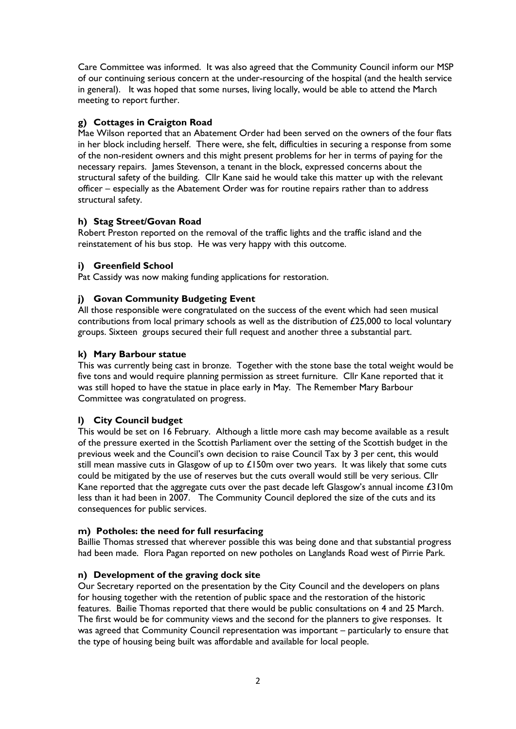Care Committee was informed. It was also agreed that the Community Council inform our MSP of our continuing serious concern at the under-resourcing of the hospital (and the health service in general). It was hoped that some nurses, living locally, would be able to attend the March meeting to report further.

## g) Cottages in Craigton Road

Mae Wilson reported that an Abatement Order had been served on the owners of the four flats in her block including herself. There were, she felt, difficulties in securing a response from some of the non-resident owners and this might present problems for her in terms of paying for the necessary repairs. James Stevenson, a tenant in the block, expressed concerns about the structural safety of the building. Cllr Kane said he would take this matter up with the relevant officer – especially as the Abatement Order was for routine repairs rather than to address structural safety.

# h) Stag Street/Govan Road

Robert Preston reported on the removal of the traffic lights and the traffic island and the reinstatement of his bus stop. He was very happy with this outcome.

# i) Greenfield School

Pat Cassidy was now making funding applications for restoration.

# i) Govan Community Budgeting Event

All those responsible were congratulated on the success of the event which had seen musical contributions from local primary schools as well as the distribution of £25,000 to local voluntary groups. Sixteen groups secured their full request and another three a substantial part.

## k) Mary Barbour statue

This was currently being cast in bronze. Together with the stone base the total weight would be five tons and would require planning permission as street furniture. Cllr Kane reported that it was still hoped to have the statue in place early in May. The Remember Mary Barbour Committee was congratulated on progress.

## l) City Council budget

This would be set on 16 February. Although a little more cash may become available as a result of the pressure exerted in the Scottish Parliament over the setting of the Scottish budget in the previous week and the Council's own decision to raise Council Tax by 3 per cent, this would still mean massive cuts in Glasgow of up to  $£150m$  over two years. It was likely that some cuts could be mitigated by the use of reserves but the cuts overall would still be very serious. Cllr Kane reported that the aggregate cuts over the past decade left Glasgow's annual income  $£310m$ less than it had been in 2007. The Community Council deplored the size of the cuts and its consequences for public services.

## m) Potholes: the need for full resurfacing

Baillie Thomas stressed that wherever possible this was being done and that substantial progress had been made. Flora Pagan reported on new potholes on Langlands Road west of Pirrie Park.

## n) Development of the graving dock site

Our Secretary reported on the presentation by the City Council and the developers on plans for housing together with the retention of public space and the restoration of the historic features. Bailie Thomas reported that there would be public consultations on 4 and 25 March. The first would be for community views and the second for the planners to give responses. It was agreed that Community Council representation was important – particularly to ensure that the type of housing being built was affordable and available for local people.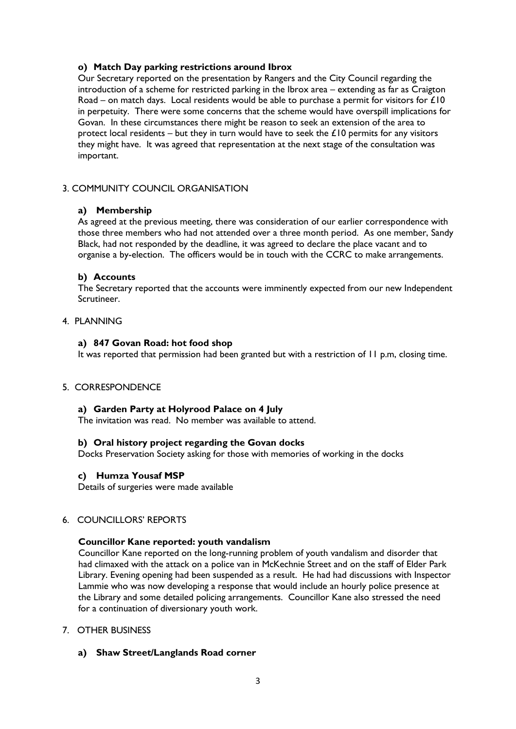## o) Match Day parking restrictions around Ibrox

Our Secretary reported on the presentation by Rangers and the City Council regarding the introduction of a scheme for restricted parking in the Ibrox area – extending as far as Craigton Road – on match days. Local residents would be able to purchase a permit for visitors for  $\mathcal{L}10$ in perpetuity. There were some concerns that the scheme would have overspill implications for Govan. In these circumstances there might be reason to seek an extension of the area to protect local residents – but they in turn would have to seek the  $\pounds$  10 permits for any visitors they might have. It was agreed that representation at the next stage of the consultation was important.

## 3. COMMUNITY COUNCIL ORGANISATION

### a) Membership

As agreed at the previous meeting, there was consideration of our earlier correspondence with those three members who had not attended over a three month period. As one member, Sandy Black, had not responded by the deadline, it was agreed to declare the place vacant and to organise a by-election. The officers would be in touch with the CCRC to make arrangements.

### b) Accounts

The Secretary reported that the accounts were imminently expected from our new Independent Scrutineer.

### 4. PLANNING

### a) 847 Govan Road: hot food shop

It was reported that permission had been granted but with a restriction of 11 p.m, closing time.

### 5. CORRESPONDENCE

### a) Garden Party at Holyrood Palace on 4 July

The invitation was read. No member was available to attend.

### b) Oral history project regarding the Govan docks

Docks Preservation Society asking for those with memories of working in the docks

### c) Humza Yousaf MSP

Details of surgeries were made available

## 6. COUNCILLORS' REPORTS

### Councillor Kane reported: youth vandalism

 Councillor Kane reported on the long-running problem of youth vandalism and disorder that had climaxed with the attack on a police van in McKechnie Street and on the staff of Elder Park Library. Evening opening had been suspended as a result. He had had discussions with Inspector Lammie who was now developing a response that would include an hourly police presence at the Library and some detailed policing arrangements. Councillor Kane also stressed the need for a continuation of diversionary youth work.

## 7. OTHER BUSINESS

a) Shaw Street/Langlands Road corner